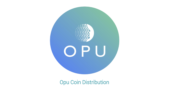

Opu Coin Distribution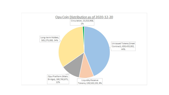